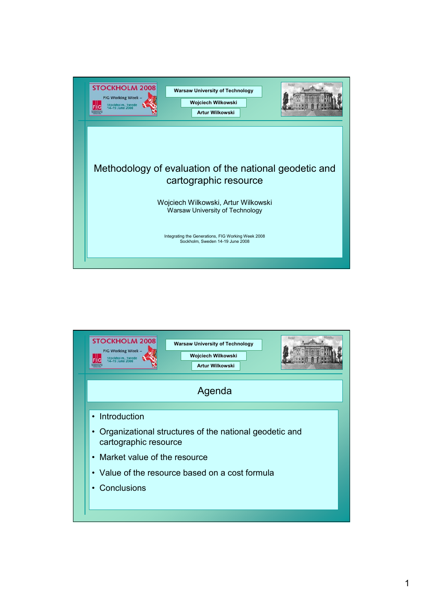

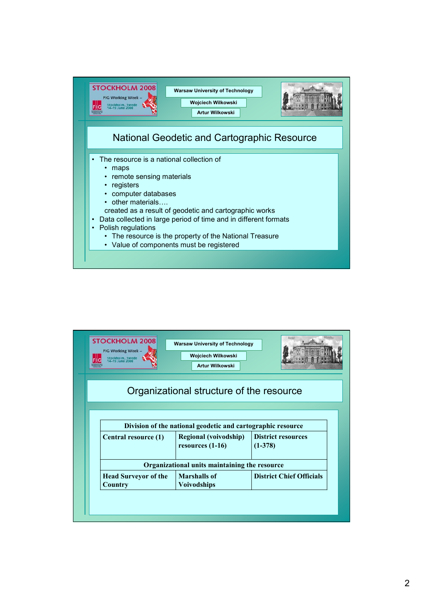

| <b>STOCKHOLM 2008</b><br>FIG Working Week -<br>Stockholm, Swede<br>14–19 June 2008 | <b>Warsaw University of Technology</b><br>Wojciech Wilkowski<br><b>Artur Wilkowski</b> |                                        |
|------------------------------------------------------------------------------------|----------------------------------------------------------------------------------------|----------------------------------------|
|                                                                                    | Organizational structure of the resource                                               |                                        |
|                                                                                    |                                                                                        |                                        |
|                                                                                    | Division of the national geodetic and cartographic resource                            |                                        |
| Central resource (1)                                                               | <b>Regional (voivodship)</b><br>resources $(1-16)$                                     | <b>District resources</b><br>$(1-378)$ |
|                                                                                    | Organizational units maintaining the resource                                          |                                        |
|                                                                                    |                                                                                        |                                        |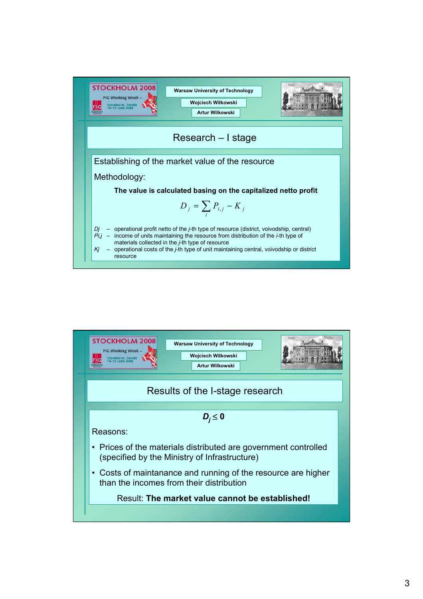

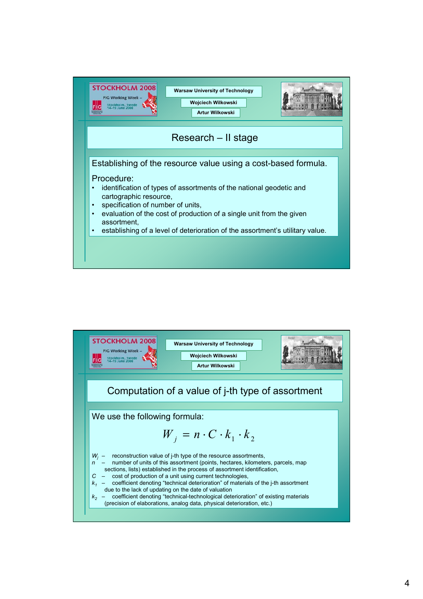

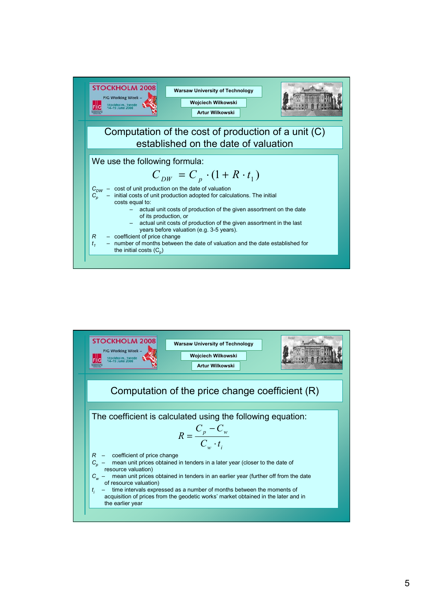

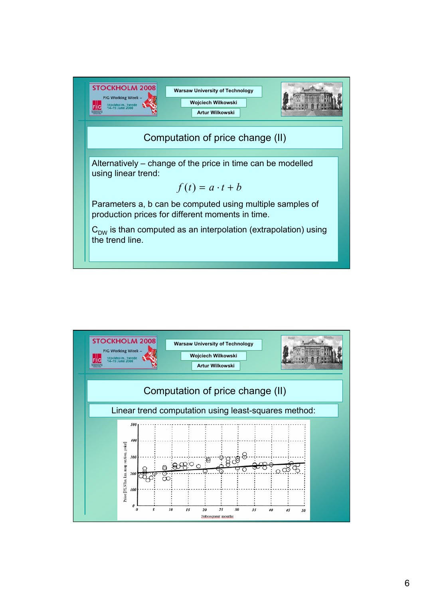

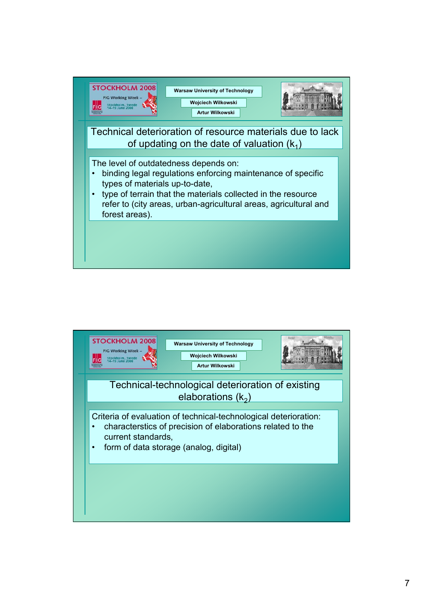

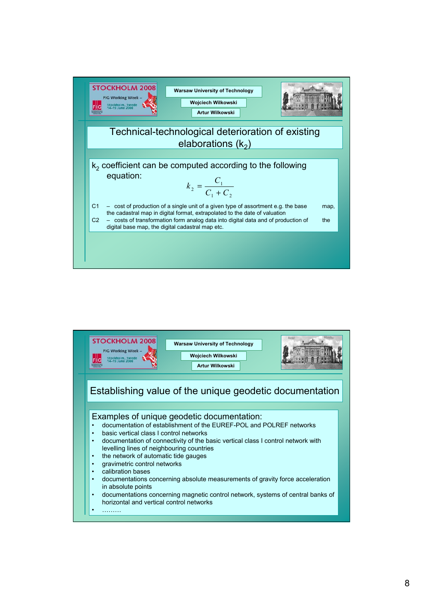

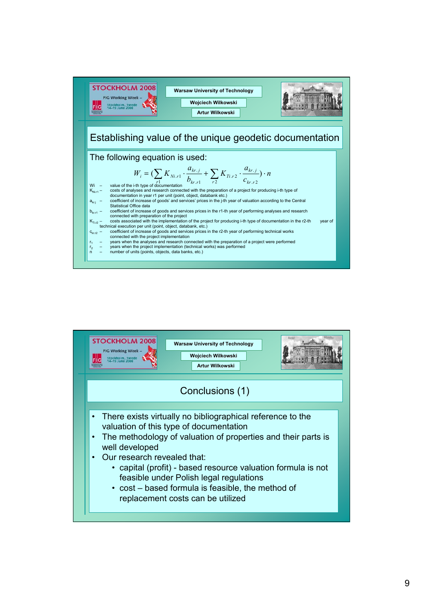